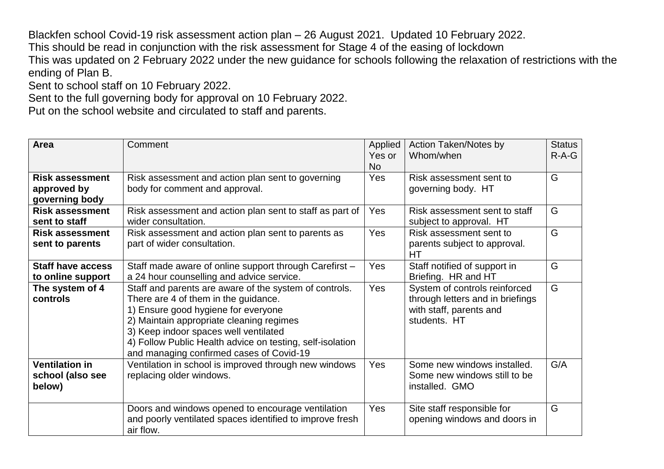Blackfen school Covid-19 risk assessment action plan – 26 August 2021. Updated 10 February 2022. This should be read in conjunction with the risk assessment for Stage 4 of the easing of lockdown This was updated on 2 February 2022 under the new guidance for schools following the relaxation of restrictions with the ending of Plan B.

Sent to school staff on 10 February 2022.

Sent to the full governing body for approval on 10 February 2022.

Put on the school website and circulated to staff and parents.

| <b>Area</b>                                             | Comment                                                                                                                                                                                                                                                                                                                             | Applied<br>Yes or<br><b>No</b> | Action Taken/Notes by<br>Whom/when                                                                           | <b>Status</b><br>$R-A-G$ |
|---------------------------------------------------------|-------------------------------------------------------------------------------------------------------------------------------------------------------------------------------------------------------------------------------------------------------------------------------------------------------------------------------------|--------------------------------|--------------------------------------------------------------------------------------------------------------|--------------------------|
| <b>Risk assessment</b><br>approved by<br>governing body | Risk assessment and action plan sent to governing<br>body for comment and approval.                                                                                                                                                                                                                                                 | Yes                            | Risk assessment sent to<br>governing body. HT                                                                | G                        |
| <b>Risk assessment</b><br>sent to staff                 | Risk assessment and action plan sent to staff as part of<br>wider consultation.                                                                                                                                                                                                                                                     | Yes                            | Risk assessment sent to staff<br>subject to approval. HT                                                     | G                        |
| <b>Risk assessment</b><br>sent to parents               | Risk assessment and action plan sent to parents as<br>part of wider consultation.                                                                                                                                                                                                                                                   | Yes                            | Risk assessment sent to<br>parents subject to approval.<br>HТ                                                | G                        |
| <b>Staff have access</b><br>to online support           | Staff made aware of online support through Carefirst -<br>a 24 hour counselling and advice service.                                                                                                                                                                                                                                 | Yes                            | Staff notified of support in<br>Briefing. HR and HT                                                          | G                        |
| The system of 4<br>controls                             | Staff and parents are aware of the system of controls.<br>There are 4 of them in the guidance.<br>1) Ensure good hygiene for everyone<br>2) Maintain appropriate cleaning regimes<br>3) Keep indoor spaces well ventilated<br>4) Follow Public Health advice on testing, self-isolation<br>and managing confirmed cases of Covid-19 | Yes                            | System of controls reinforced<br>through letters and in briefings<br>with staff, parents and<br>students. HT | G                        |
| <b>Ventilation in</b><br>school (also see<br>below)     | Ventilation in school is improved through new windows<br>replacing older windows.                                                                                                                                                                                                                                                   | Yes                            | Some new windows installed.<br>Some new windows still to be.<br>installed. GMO                               | G/A                      |
|                                                         | Doors and windows opened to encourage ventilation<br>and poorly ventilated spaces identified to improve fresh<br>air flow.                                                                                                                                                                                                          | Yes                            | Site staff responsible for<br>opening windows and doors in                                                   | G                        |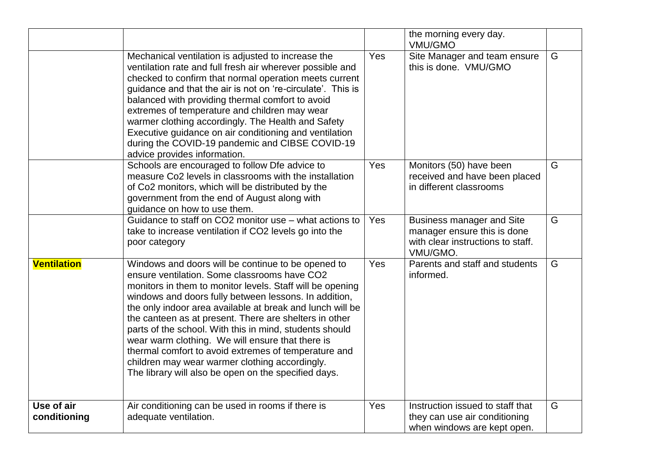|                            |                                                                                                                                                                                                                                                                                                                                                                                                                                                                                                                                                                                                                                  |     | the morning every day.<br><b>VMU/GMO</b>                                                                         |   |
|----------------------------|----------------------------------------------------------------------------------------------------------------------------------------------------------------------------------------------------------------------------------------------------------------------------------------------------------------------------------------------------------------------------------------------------------------------------------------------------------------------------------------------------------------------------------------------------------------------------------------------------------------------------------|-----|------------------------------------------------------------------------------------------------------------------|---|
|                            | Mechanical ventilation is adjusted to increase the<br>ventilation rate and full fresh air wherever possible and<br>checked to confirm that normal operation meets current<br>guidance and that the air is not on 're-circulate'. This is<br>balanced with providing thermal comfort to avoid<br>extremes of temperature and children may wear<br>warmer clothing accordingly. The Health and Safety<br>Executive guidance on air conditioning and ventilation<br>during the COVID-19 pandemic and CIBSE COVID-19<br>advice provides information.                                                                                 | Yes | Site Manager and team ensure<br>this is done. VMU/GMO                                                            | G |
|                            | Schools are encouraged to follow Dfe advice to<br>measure Co2 levels in classrooms with the installation<br>of Co2 monitors, which will be distributed by the<br>government from the end of August along with<br>guidance on how to use them.                                                                                                                                                                                                                                                                                                                                                                                    | Yes | Monitors (50) have been<br>received and have been placed<br>in different classrooms                              | G |
|                            | Guidance to staff on CO2 monitor use - what actions to<br>take to increase ventilation if CO2 levels go into the<br>poor category                                                                                                                                                                                                                                                                                                                                                                                                                                                                                                | Yes | <b>Business manager and Site</b><br>manager ensure this is done<br>with clear instructions to staff.<br>VMU/GMO. | G |
| <b>Ventilation</b>         | Windows and doors will be continue to be opened to<br>ensure ventilation. Some classrooms have CO2<br>monitors in them to monitor levels. Staff will be opening<br>windows and doors fully between lessons. In addition,<br>the only indoor area available at break and lunch will be<br>the canteen as at present. There are shelters in other<br>parts of the school. With this in mind, students should<br>wear warm clothing. We will ensure that there is<br>thermal comfort to avoid extremes of temperature and<br>children may wear warmer clothing accordingly.<br>The library will also be open on the specified days. | Yes | Parents and staff and students<br>informed.                                                                      | G |
| Use of air<br>conditioning | Air conditioning can be used in rooms if there is<br>adequate ventilation.                                                                                                                                                                                                                                                                                                                                                                                                                                                                                                                                                       | Yes | Instruction issued to staff that<br>they can use air conditioning<br>when windows are kept open.                 | G |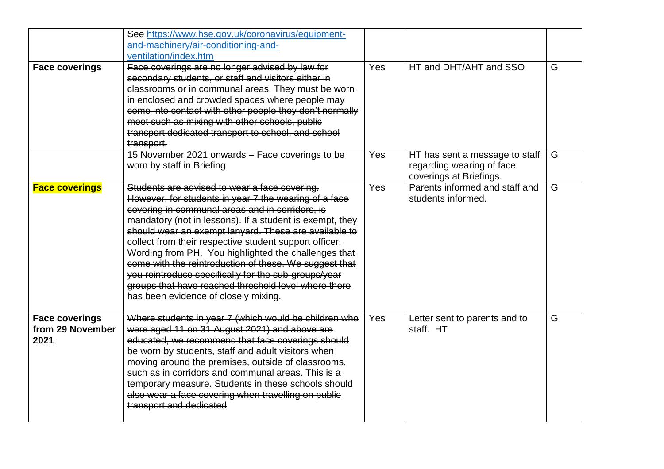|                                                   | See https://www.hse.gov.uk/coronavirus/equipment-<br>and-machinery/air-conditioning-and-<br>ventilation/index.htm                                                                                                                                                                                                                                                                                                                                                                                                                                                                                                  |     |                                                                                        |   |
|---------------------------------------------------|--------------------------------------------------------------------------------------------------------------------------------------------------------------------------------------------------------------------------------------------------------------------------------------------------------------------------------------------------------------------------------------------------------------------------------------------------------------------------------------------------------------------------------------------------------------------------------------------------------------------|-----|----------------------------------------------------------------------------------------|---|
| <b>Face coverings</b>                             | Face coverings are no longer advised by law for<br>secondary students, or staff and visitors either in<br>classrooms or in communal areas. They must be worn<br>in enclosed and crowded spaces where people may<br>come into contact with other people they don't normally<br>meet such as mixing with other schools, public<br>transport dedicated transport to school, and school<br>transport.                                                                                                                                                                                                                  | Yes | HT and DHT/AHT and SSO                                                                 | G |
|                                                   | 15 November 2021 onwards - Face coverings to be<br>worn by staff in Briefing                                                                                                                                                                                                                                                                                                                                                                                                                                                                                                                                       | Yes | HT has sent a message to staff<br>regarding wearing of face<br>coverings at Briefings. | G |
| <b>Face coverings</b>                             | Students are advised to wear a face covering.<br>However, for students in year 7 the wearing of a face<br>covering in communal areas and in corridors, is<br>mandatory (not in lessons). If a student is exempt, they<br>should wear an exempt lanyard. These are available to<br>collect from their respective student support officer.<br>Wording from PH. You highlighted the challenges that<br>come with the reintroduction of these. We suggest that<br>you reintroduce specifically for the sub-groups/year<br>groups that have reached threshold level where there<br>has been evidence of closely mixing. | Yes | Parents informed and staff and<br>students informed.                                   | G |
| <b>Face coverings</b><br>from 29 November<br>2021 | Where students in year 7 (which would be children who<br>were aged 11 on 31 August 2021) and above are<br>educated, we recommend that face coverings should<br>be worn by students, staff and adult visitors when<br>moving around the premises, outside of classrooms,<br>such as in corridors and communal areas. This is a<br>temporary measure. Students in these schools should<br>also wear a face covering when travelling on public<br>transport and dedicated                                                                                                                                             | Yes | Letter sent to parents and to<br>staff. HT                                             | G |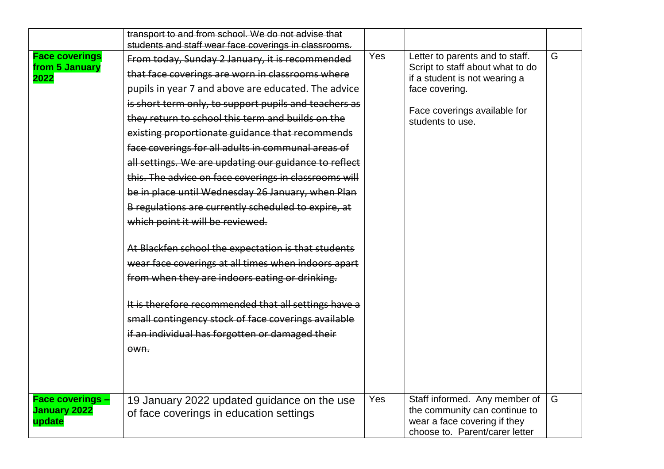|                                                 | transport to and from school. We do not advise that                                                                                                                                                                                                                                                                                                                                                                                                                                                                                                                                                                                                                                                                                                                                                                                                                                                                                                                                         |     |                                                                                                                                                                            |   |
|-------------------------------------------------|---------------------------------------------------------------------------------------------------------------------------------------------------------------------------------------------------------------------------------------------------------------------------------------------------------------------------------------------------------------------------------------------------------------------------------------------------------------------------------------------------------------------------------------------------------------------------------------------------------------------------------------------------------------------------------------------------------------------------------------------------------------------------------------------------------------------------------------------------------------------------------------------------------------------------------------------------------------------------------------------|-----|----------------------------------------------------------------------------------------------------------------------------------------------------------------------------|---|
| <b>Face coverings</b><br>from 5 January<br>2022 | students and staff wear face coverings in classrooms.<br>From today, Sunday 2 January, it is recommended<br>that face coverings are worn in classrooms where<br>pupils in year 7 and above are educated. The advice<br>is short term only, to support pupils and teachers as<br>they return to school this term and builds on the<br>existing proportionate guidance that recommends<br>face coverings for all adults in communal areas of<br>all settings. We are updating our guidance to reflect<br>this. The advice on face coverings in classrooms will<br>be in place until Wednesday 26 January, when Plan<br>B regulations are currently scheduled to expire, at<br>which point it will be reviewed.<br>At Blackfen school the expectation is that students<br>wear face coverings at all times when indoors apart<br>from when they are indoors eating or drinking.<br>It is therefore recommended that all settings have a<br>small contingency stock of face coverings available | Yes | Letter to parents and to staff.<br>Script to staff about what to do<br>if a student is not wearing a<br>face covering.<br>Face coverings available for<br>students to use. | G |
|                                                 | if an individual has forgotten or damaged their<br>$ewn$ .                                                                                                                                                                                                                                                                                                                                                                                                                                                                                                                                                                                                                                                                                                                                                                                                                                                                                                                                  |     |                                                                                                                                                                            |   |
| <b>Face coverings -</b><br><b>January 2022</b>  | 19 January 2022 updated guidance on the use<br>of face coverings in education settings                                                                                                                                                                                                                                                                                                                                                                                                                                                                                                                                                                                                                                                                                                                                                                                                                                                                                                      | Yes | Staff informed. Any member of<br>the community can continue to                                                                                                             | G |
| update                                          |                                                                                                                                                                                                                                                                                                                                                                                                                                                                                                                                                                                                                                                                                                                                                                                                                                                                                                                                                                                             |     | wear a face covering if they<br>choose to. Parent/carer letter                                                                                                             |   |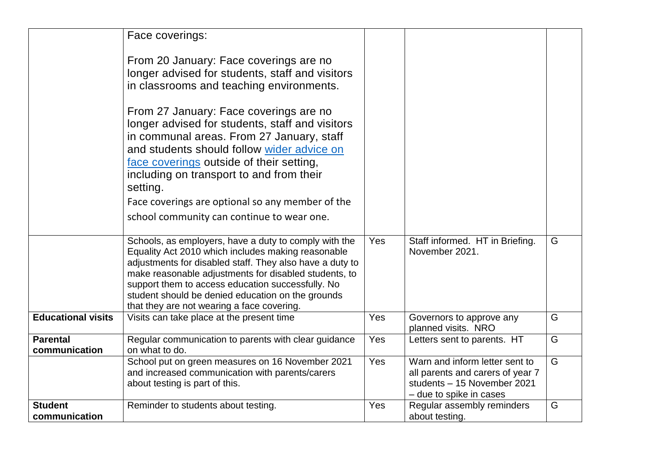|                                  | Face coverings:                                                                                                                                                                                                                                                                                                                                                                          |     |                                                                                                                              |   |
|----------------------------------|------------------------------------------------------------------------------------------------------------------------------------------------------------------------------------------------------------------------------------------------------------------------------------------------------------------------------------------------------------------------------------------|-----|------------------------------------------------------------------------------------------------------------------------------|---|
|                                  | From 20 January: Face coverings are no<br>longer advised for students, staff and visitors<br>in classrooms and teaching environments.                                                                                                                                                                                                                                                    |     |                                                                                                                              |   |
|                                  | From 27 January: Face coverings are no<br>longer advised for students, staff and visitors<br>in communal areas. From 27 January, staff<br>and students should follow wider advice on<br>face coverings outside of their setting,<br>including on transport to and from their<br>setting.                                                                                                 |     |                                                                                                                              |   |
|                                  | Face coverings are optional so any member of the                                                                                                                                                                                                                                                                                                                                         |     |                                                                                                                              |   |
|                                  | school community can continue to wear one.                                                                                                                                                                                                                                                                                                                                               |     |                                                                                                                              |   |
|                                  | Schools, as employers, have a duty to comply with the<br>Equality Act 2010 which includes making reasonable<br>adjustments for disabled staff. They also have a duty to<br>make reasonable adjustments for disabled students, to<br>support them to access education successfully. No<br>student should be denied education on the grounds<br>that they are not wearing a face covering. | Yes | Staff informed. HT in Briefing.<br>November 2021.                                                                            | G |
| <b>Educational visits</b>        | Visits can take place at the present time                                                                                                                                                                                                                                                                                                                                                | Yes | Governors to approve any<br>planned visits. NRO                                                                              | G |
| <b>Parental</b><br>communication | Regular communication to parents with clear guidance<br>on what to do.                                                                                                                                                                                                                                                                                                                   | Yes | Letters sent to parents. HT                                                                                                  | G |
|                                  | School put on green measures on 16 November 2021<br>and increased communication with parents/carers<br>about testing is part of this.                                                                                                                                                                                                                                                    | Yes | Warn and inform letter sent to<br>all parents and carers of year 7<br>students - 15 November 2021<br>- due to spike in cases | G |
| <b>Student</b><br>communication  | Reminder to students about testing.                                                                                                                                                                                                                                                                                                                                                      | Yes | Regular assembly reminders<br>about testing.                                                                                 | G |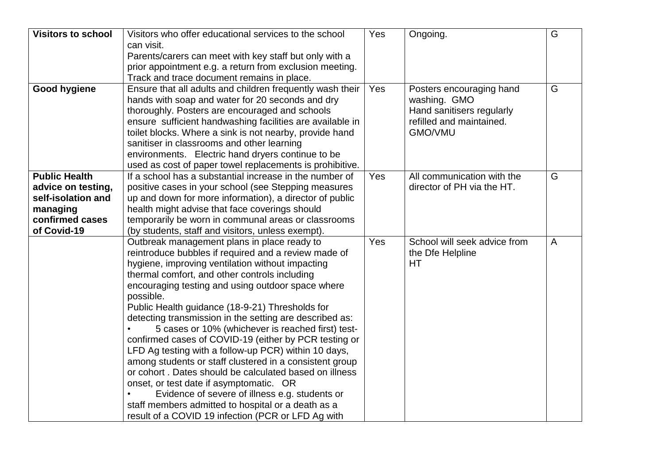| <b>Visitors to school</b> | Visitors who offer educational services to the school                                                      | Yes | Ongoing.                     | G              |
|---------------------------|------------------------------------------------------------------------------------------------------------|-----|------------------------------|----------------|
|                           | can visit.                                                                                                 |     |                              |                |
|                           | Parents/carers can meet with key staff but only with a                                                     |     |                              |                |
|                           | prior appointment e.g. a return from exclusion meeting.                                                    |     |                              |                |
|                           | Track and trace document remains in place.                                                                 |     |                              |                |
| <b>Good hygiene</b>       | Ensure that all adults and children frequently wash their                                                  | Yes | Posters encouraging hand     | G              |
|                           | hands with soap and water for 20 seconds and dry                                                           |     | washing. GMO                 |                |
|                           | thoroughly. Posters are encouraged and schools                                                             |     | Hand sanitisers regularly    |                |
|                           | ensure sufficient handwashing facilities are available in                                                  |     | refilled and maintained.     |                |
|                           | toilet blocks. Where a sink is not nearby, provide hand                                                    |     | GMO/VMU                      |                |
|                           | sanitiser in classrooms and other learning                                                                 |     |                              |                |
|                           | environments. Electric hand dryers continue to be                                                          |     |                              |                |
|                           | used as cost of paper towel replacements is prohibitive.                                                   |     |                              |                |
| <b>Public Health</b>      | If a school has a substantial increase in the number of                                                    | Yes | All communication with the   | G              |
| advice on testing,        | positive cases in your school (see Stepping measures                                                       |     | director of PH via the HT.   |                |
| self-isolation and        | up and down for more information), a director of public                                                    |     |                              |                |
| managing                  | health might advise that face coverings should                                                             |     |                              |                |
| confirmed cases           | temporarily be worn in communal areas or classrooms                                                        |     |                              |                |
| of Covid-19               | (by students, staff and visitors, unless exempt).                                                          |     |                              |                |
|                           | Outbreak management plans in place ready to                                                                | Yes | School will seek advice from | $\overline{A}$ |
|                           | reintroduce bubbles if required and a review made of                                                       |     | the Dfe Helpline             |                |
|                           | hygiene, improving ventilation without impacting                                                           |     | HT                           |                |
|                           | thermal comfort, and other controls including                                                              |     |                              |                |
|                           | encouraging testing and using outdoor space where                                                          |     |                              |                |
|                           | possible.                                                                                                  |     |                              |                |
|                           | Public Health guidance (18-9-21) Thresholds for<br>detecting transmission in the setting are described as: |     |                              |                |
|                           | 5 cases or 10% (whichever is reached first) test-                                                          |     |                              |                |
|                           | confirmed cases of COVID-19 (either by PCR testing or                                                      |     |                              |                |
|                           | LFD Ag testing with a follow-up PCR) within 10 days,                                                       |     |                              |                |
|                           | among students or staff clustered in a consistent group                                                    |     |                              |                |
|                           | or cohort. Dates should be calculated based on illness                                                     |     |                              |                |
|                           | onset, or test date if asymptomatic. OR                                                                    |     |                              |                |
|                           | Evidence of severe of illness e.g. students or                                                             |     |                              |                |
|                           | staff members admitted to hospital or a death as a                                                         |     |                              |                |
|                           | result of a COVID 19 infection (PCR or LFD Ag with                                                         |     |                              |                |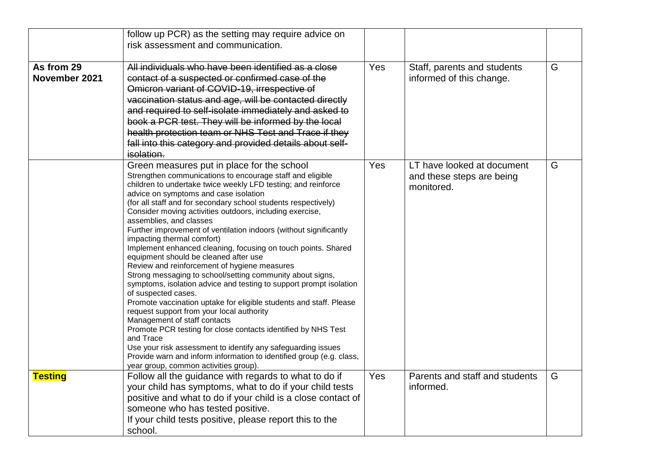|                             | follow up PCR) as the setting may require advice on                                                                                                                                                                                                                                                                                                                                                                                                                                                                                                                                                                                                                                                                                                                                                                                                                                                                                                                                                                                                                                                                                                                                                                |     |                                                                       |   |
|-----------------------------|--------------------------------------------------------------------------------------------------------------------------------------------------------------------------------------------------------------------------------------------------------------------------------------------------------------------------------------------------------------------------------------------------------------------------------------------------------------------------------------------------------------------------------------------------------------------------------------------------------------------------------------------------------------------------------------------------------------------------------------------------------------------------------------------------------------------------------------------------------------------------------------------------------------------------------------------------------------------------------------------------------------------------------------------------------------------------------------------------------------------------------------------------------------------------------------------------------------------|-----|-----------------------------------------------------------------------|---|
|                             | risk assessment and communication.                                                                                                                                                                                                                                                                                                                                                                                                                                                                                                                                                                                                                                                                                                                                                                                                                                                                                                                                                                                                                                                                                                                                                                                 |     |                                                                       |   |
| As from 29<br>November 2021 | All individuals who have been identified as a close<br>contact of a suspected or confirmed case of the<br>Omicron variant of COVID-19, irrespective of<br>vaccination status and age, will be contacted directly<br>and required to self-isolate immediately and asked to<br>book a PCR test. They will be informed by the local<br>health protection team or NHS Test and Trace if they<br>fall into this category and provided details about self-<br>isolation.                                                                                                                                                                                                                                                                                                                                                                                                                                                                                                                                                                                                                                                                                                                                                 | Yes | Staff, parents and students<br>informed of this change.               | G |
|                             | Green measures put in place for the school<br>Strengthen communications to encourage staff and eligible<br>children to undertake twice weekly LFD testing; and reinforce<br>advice on symptoms and case isolation<br>(for all staff and for secondary school students respectively)<br>Consider moving activities outdoors, including exercise,<br>assemblies, and classes<br>Further improvement of ventilation indoors (without significantly<br>impacting thermal comfort)<br>Implement enhanced cleaning, focusing on touch points. Shared<br>equipment should be cleaned after use<br>Review and reinforcement of hygiene measures<br>Strong messaging to school/setting community about signs,<br>symptoms, isolation advice and testing to support prompt isolation<br>of suspected cases.<br>Promote vaccination uptake for eligible students and staff. Please<br>request support from your local authority<br>Management of staff contacts<br>Promote PCR testing for close contacts identified by NHS Test<br>and Trace<br>Use your risk assessment to identify any safeguarding issues<br>Provide warn and inform information to identified group (e.g. class,<br>year group, common activities group) | Yes | LT have looked at document<br>and these steps are being<br>monitored. | G |
| <b>Testing</b>              | Follow all the guidance with regards to what to do if<br>your child has symptoms, what to do if your child tests<br>positive and what to do if your child is a close contact of<br>someone who has tested positive.<br>If your child tests positive, please report this to the<br>school.                                                                                                                                                                                                                                                                                                                                                                                                                                                                                                                                                                                                                                                                                                                                                                                                                                                                                                                          | Yes | Parents and staff and students<br>informed.                           | G |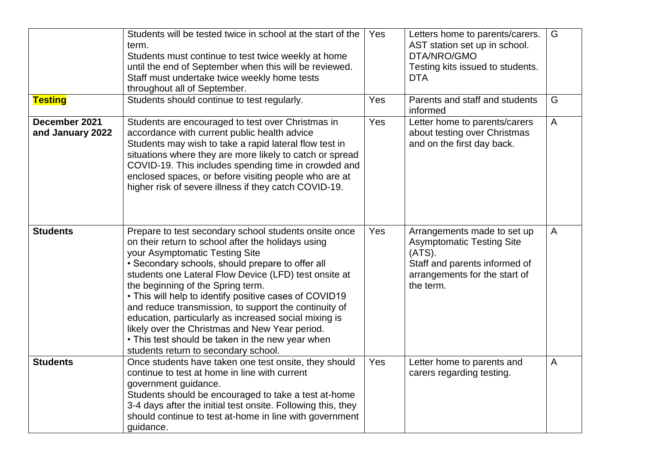|                                   | Students will be tested twice in school at the start of the<br>term.<br>Students must continue to test twice weekly at home<br>until the end of September when this will be reviewed.<br>Staff must undertake twice weekly home tests<br>throughout all of September.                                                                                                                                                                                                                                                                                                                                                     | Yes | Letters home to parents/carers.<br>AST station set up in school.<br>DTA/NRO/GMO<br>Testing kits issued to students.<br><b>DTA</b>                           | G              |
|-----------------------------------|---------------------------------------------------------------------------------------------------------------------------------------------------------------------------------------------------------------------------------------------------------------------------------------------------------------------------------------------------------------------------------------------------------------------------------------------------------------------------------------------------------------------------------------------------------------------------------------------------------------------------|-----|-------------------------------------------------------------------------------------------------------------------------------------------------------------|----------------|
| <b>Testing</b>                    | Students should continue to test regularly.                                                                                                                                                                                                                                                                                                                                                                                                                                                                                                                                                                               | Yes | Parents and staff and students<br>informed                                                                                                                  | G              |
| December 2021<br>and January 2022 | Students are encouraged to test over Christmas in<br>accordance with current public health advice<br>Students may wish to take a rapid lateral flow test in<br>situations where they are more likely to catch or spread<br>COVID-19. This includes spending time in crowded and<br>enclosed spaces, or before visiting people who are at<br>higher risk of severe illness if they catch COVID-19.                                                                                                                                                                                                                         | Yes | Letter home to parents/carers<br>about testing over Christmas<br>and on the first day back.                                                                 | $\mathsf{A}$   |
| <b>Students</b>                   | Prepare to test secondary school students onsite once<br>on their return to school after the holidays using<br>your Asymptomatic Testing Site<br>• Secondary schools, should prepare to offer all<br>students one Lateral Flow Device (LFD) test onsite at<br>the beginning of the Spring term.<br>• This will help to identify positive cases of COVID19<br>and reduce transmission, to support the continuity of<br>education, particularly as increased social mixing is<br>likely over the Christmas and New Year period.<br>• This test should be taken in the new year when<br>students return to secondary school. | Yes | Arrangements made to set up<br><b>Asymptomatic Testing Site</b><br>$(ATS)$ .<br>Staff and parents informed of<br>arrangements for the start of<br>the term. | $\overline{A}$ |
| <b>Students</b>                   | Once students have taken one test onsite, they should<br>continue to test at home in line with current<br>government guidance.<br>Students should be encouraged to take a test at-home<br>3-4 days after the initial test onsite. Following this, they<br>should continue to test at-home in line with government<br>guidance.                                                                                                                                                                                                                                                                                            | Yes | Letter home to parents and<br>carers regarding testing.                                                                                                     | $\overline{A}$ |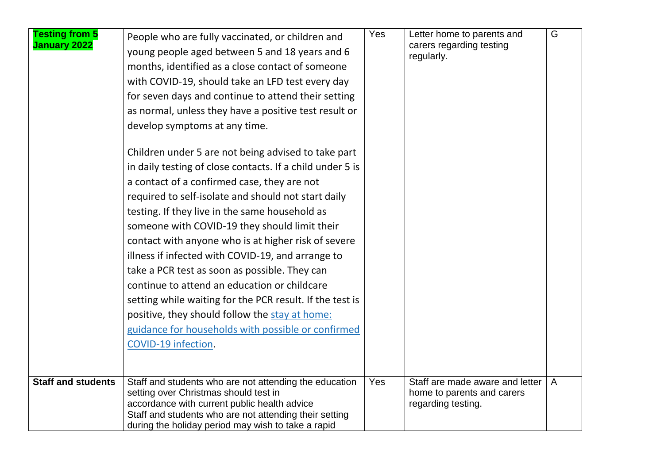| <b>Testing from 5</b><br><b>January 2022</b> | People who are fully vaccinated, or children and<br>young people aged between 5 and 18 years and 6<br>months, identified as a close contact of someone<br>with COVID-19, should take an LFD test every day<br>for seven days and continue to attend their setting<br>as normal, unless they have a positive test result or<br>develop symptoms at any time.<br>Children under 5 are not being advised to take part<br>in daily testing of close contacts. If a child under 5 is<br>a contact of a confirmed case, they are not<br>required to self-isolate and should not start daily<br>testing. If they live in the same household as<br>someone with COVID-19 they should limit their<br>contact with anyone who is at higher risk of severe<br>illness if infected with COVID-19, and arrange to<br>take a PCR test as soon as possible. They can<br>continue to attend an education or childcare<br>setting while waiting for the PCR result. If the test is | Yes | Letter home to parents and<br>carers regarding testing<br>regularly. | G              |
|----------------------------------------------|-------------------------------------------------------------------------------------------------------------------------------------------------------------------------------------------------------------------------------------------------------------------------------------------------------------------------------------------------------------------------------------------------------------------------------------------------------------------------------------------------------------------------------------------------------------------------------------------------------------------------------------------------------------------------------------------------------------------------------------------------------------------------------------------------------------------------------------------------------------------------------------------------------------------------------------------------------------------|-----|----------------------------------------------------------------------|----------------|
|                                              | positive, they should follow the stay at home:<br>guidance for households with possible or confirmed                                                                                                                                                                                                                                                                                                                                                                                                                                                                                                                                                                                                                                                                                                                                                                                                                                                              |     |                                                                      |                |
|                                              | COVID-19 infection.                                                                                                                                                                                                                                                                                                                                                                                                                                                                                                                                                                                                                                                                                                                                                                                                                                                                                                                                               |     |                                                                      |                |
| <b>Staff and students</b>                    | Staff and students who are not attending the education                                                                                                                                                                                                                                                                                                                                                                                                                                                                                                                                                                                                                                                                                                                                                                                                                                                                                                            | Yes | Staff are made aware and letter                                      | $\overline{A}$ |
|                                              | setting over Christmas should test in<br>accordance with current public health advice<br>Staff and students who are not attending their setting<br>during the holiday period may wish to take a rapid                                                                                                                                                                                                                                                                                                                                                                                                                                                                                                                                                                                                                                                                                                                                                             |     | home to parents and carers<br>regarding testing.                     |                |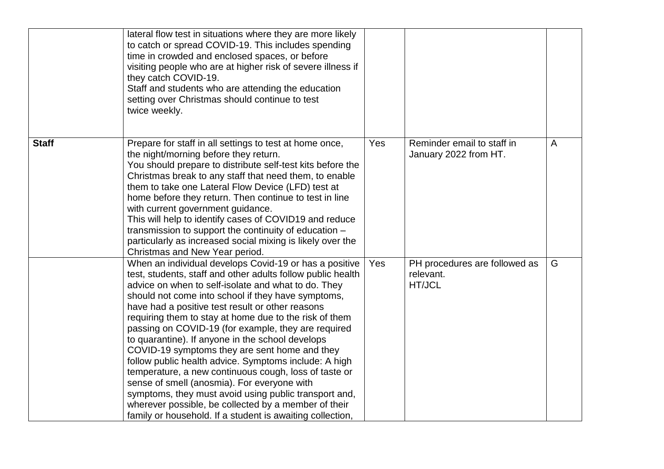|              | lateral flow test in situations where they are more likely<br>to catch or spread COVID-19. This includes spending<br>time in crowded and enclosed spaces, or before<br>visiting people who are at higher risk of severe illness if<br>they catch COVID-19.<br>Staff and students who are attending the education<br>setting over Christmas should continue to test<br>twice weekly.                                                                                                                                                                                                                                                                                                                                                                                                                                                                         |     |                                                      |                |
|--------------|-------------------------------------------------------------------------------------------------------------------------------------------------------------------------------------------------------------------------------------------------------------------------------------------------------------------------------------------------------------------------------------------------------------------------------------------------------------------------------------------------------------------------------------------------------------------------------------------------------------------------------------------------------------------------------------------------------------------------------------------------------------------------------------------------------------------------------------------------------------|-----|------------------------------------------------------|----------------|
| <b>Staff</b> | Prepare for staff in all settings to test at home once,<br>the night/morning before they return.<br>You should prepare to distribute self-test kits before the<br>Christmas break to any staff that need them, to enable<br>them to take one Lateral Flow Device (LFD) test at<br>home before they return. Then continue to test in line<br>with current government guidance.<br>This will help to identify cases of COVID19 and reduce<br>transmission to support the continuity of education -<br>particularly as increased social mixing is likely over the<br>Christmas and New Year period.                                                                                                                                                                                                                                                            | Yes | Reminder email to staff in<br>January 2022 from HT.  | $\overline{A}$ |
|              | When an individual develops Covid-19 or has a positive<br>test, students, staff and other adults follow public health<br>advice on when to self-isolate and what to do. They<br>should not come into school if they have symptoms,<br>have had a positive test result or other reasons<br>requiring them to stay at home due to the risk of them<br>passing on COVID-19 (for example, they are required<br>to quarantine). If anyone in the school develops<br>COVID-19 symptoms they are sent home and they<br>follow public health advice. Symptoms include: A high<br>temperature, a new continuous cough, loss of taste or<br>sense of smell (anosmia). For everyone with<br>symptoms, they must avoid using public transport and,<br>wherever possible, be collected by a member of their<br>family or household. If a student is awaiting collection, | Yes | PH procedures are followed as<br>relevant.<br>HT/JCL | G              |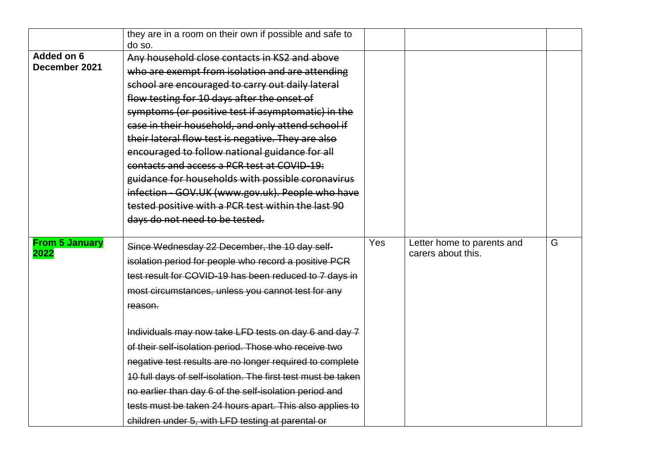|                               | they are in a room on their own if possible and safe to      |     |                                                  |   |
|-------------------------------|--------------------------------------------------------------|-----|--------------------------------------------------|---|
|                               | do so.                                                       |     |                                                  |   |
| Added on 6                    | Any household close contacts in KS2 and above                |     |                                                  |   |
| December 2021                 | who are exempt from isolation and are attending              |     |                                                  |   |
|                               | school are encouraged to carry out daily lateral             |     |                                                  |   |
|                               | flow testing for 10 days after the onset of                  |     |                                                  |   |
|                               | symptoms (or positive test if asymptomatic) in the           |     |                                                  |   |
|                               | case in their household, and only attend school if           |     |                                                  |   |
|                               | their lateral flow test is negative. They are also           |     |                                                  |   |
|                               | encouraged to follow national guidance for all               |     |                                                  |   |
|                               | contacts and access a PCR test at COVID-19:                  |     |                                                  |   |
|                               | guidance for households with possible coronavirus            |     |                                                  |   |
|                               | infection - GOV.UK (www.gov.uk). People who have             |     |                                                  |   |
|                               | tested positive with a PCR test within the last 90           |     |                                                  |   |
|                               | days do not need to be tested.                               |     |                                                  |   |
|                               |                                                              |     |                                                  |   |
| <b>From 5 January</b><br>2022 | Since Wednesday 22 December, the 10 day self-                | Yes | Letter home to parents and<br>carers about this. | G |
|                               | isolation period for people who record a positive PCR        |     |                                                  |   |
|                               | test result for COVID-19 has been reduced to 7 days in       |     |                                                  |   |
|                               | most circumstances, unless you cannot test for any           |     |                                                  |   |
|                               | reason.                                                      |     |                                                  |   |
|                               |                                                              |     |                                                  |   |
|                               | Individuals may now take LFD tests on day 6 and day 7        |     |                                                  |   |
|                               | of their self-isolation period. Those who receive two        |     |                                                  |   |
|                               | negative test results are no longer required to complete     |     |                                                  |   |
|                               | 10 full days of self-isolation. The first test must be taken |     |                                                  |   |
|                               | no earlier than day 6 of the self-isolation period and       |     |                                                  |   |
|                               | tests must be taken 24 hours apart. This also applies to     |     |                                                  |   |
|                               | children under 5, with LFD testing at parental or            |     |                                                  |   |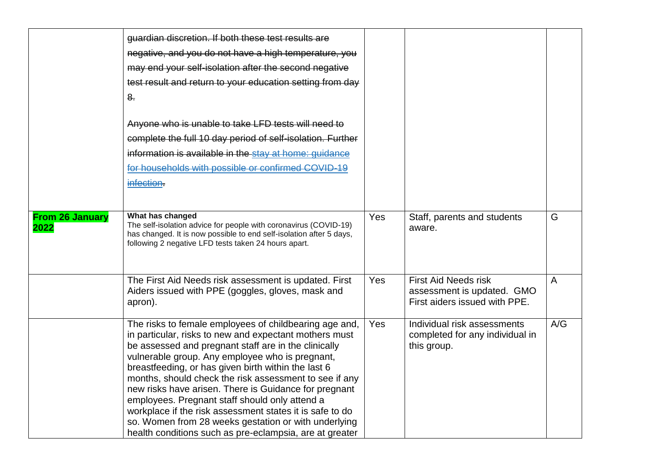|                                | guardian discretion. If both these test results are<br>negative, and you do not have a high temperature, you<br>may end your self-isolation after the second negative<br>test result and return to your education setting from day<br>8 <sub>1</sub><br>Anyone who is unable to take LFD tests will need to<br>complete the full 10 day period of self-isolation. Further<br>information is available in the stay at home: guidance<br>for households with possible or confirmed COVID-19<br>infection.                                                                                                                                |     |                                                                                            |                |
|--------------------------------|----------------------------------------------------------------------------------------------------------------------------------------------------------------------------------------------------------------------------------------------------------------------------------------------------------------------------------------------------------------------------------------------------------------------------------------------------------------------------------------------------------------------------------------------------------------------------------------------------------------------------------------|-----|--------------------------------------------------------------------------------------------|----------------|
| <b>From 26 January</b><br>2022 | What has changed<br>The self-isolation advice for people with coronavirus (COVID-19)<br>has changed. It is now possible to end self-isolation after 5 days,<br>following 2 negative LFD tests taken 24 hours apart.                                                                                                                                                                                                                                                                                                                                                                                                                    | Yes | Staff, parents and students<br>aware.                                                      | G              |
|                                | The First Aid Needs risk assessment is updated. First<br>Aiders issued with PPE (goggles, gloves, mask and<br>apron).                                                                                                                                                                                                                                                                                                                                                                                                                                                                                                                  | Yes | <b>First Aid Needs risk</b><br>assessment is updated. GMO<br>First aiders issued with PPE. | $\overline{A}$ |
|                                | The risks to female employees of childbearing age and,<br>in particular, risks to new and expectant mothers must<br>be assessed and pregnant staff are in the clinically<br>vulnerable group. Any employee who is pregnant,<br>breastfeeding, or has given birth within the last 6<br>months, should check the risk assessment to see if any<br>new risks have arisen. There is Guidance for pregnant<br>employees. Pregnant staff should only attend a<br>workplace if the risk assessment states it is safe to do<br>so. Women from 28 weeks gestation or with underlying<br>health conditions such as pre-eclampsia, are at greater | Yes | Individual risk assessments<br>completed for any individual in<br>this group.              | A/G            |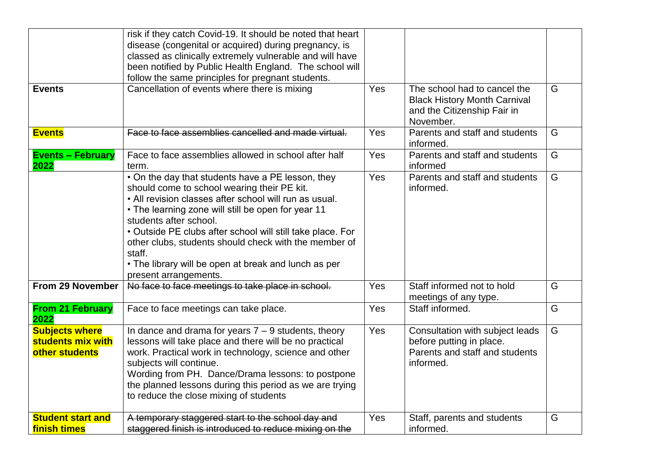|                                                              | risk if they catch Covid-19. It should be noted that heart<br>disease (congenital or acquired) during pregnancy, is<br>classed as clinically extremely vulnerable and will have                                                                                                                                                                                                                                                                              |     |                                                                                                                 |   |
|--------------------------------------------------------------|--------------------------------------------------------------------------------------------------------------------------------------------------------------------------------------------------------------------------------------------------------------------------------------------------------------------------------------------------------------------------------------------------------------------------------------------------------------|-----|-----------------------------------------------------------------------------------------------------------------|---|
|                                                              | been notified by Public Health England. The school will<br>follow the same principles for pregnant students.                                                                                                                                                                                                                                                                                                                                                 |     |                                                                                                                 |   |
| <b>Events</b>                                                | Cancellation of events where there is mixing                                                                                                                                                                                                                                                                                                                                                                                                                 | Yes | The school had to cancel the<br><b>Black History Month Carnival</b><br>and the Citizenship Fair in<br>November. | G |
| <b>Events</b>                                                | Face to face assemblies cancelled and made virtual.                                                                                                                                                                                                                                                                                                                                                                                                          | Yes | Parents and staff and students<br>informed.                                                                     | G |
| <b>Events - February</b><br>2022                             | Face to face assemblies allowed in school after half<br>term.                                                                                                                                                                                                                                                                                                                                                                                                | Yes | Parents and staff and students<br>informed                                                                      | G |
|                                                              | • On the day that students have a PE lesson, they<br>should come to school wearing their PE kit.<br>• All revision classes after school will run as usual.<br>• The learning zone will still be open for year 11<br>students after school.<br>• Outside PE clubs after school will still take place. For<br>other clubs, students should check with the member of<br>staff.<br>• The library will be open at break and lunch as per<br>present arrangements. | Yes | Parents and staff and students<br>informed.                                                                     | G |
| From 29 November                                             | No face to face meetings to take place in school.                                                                                                                                                                                                                                                                                                                                                                                                            | Yes | Staff informed not to hold<br>meetings of any type.                                                             | G |
| <b>From 21 February</b><br>2022                              | Face to face meetings can take place.                                                                                                                                                                                                                                                                                                                                                                                                                        | Yes | Staff informed.                                                                                                 | G |
| <b>Subjects where</b><br>students mix with<br>other students | In dance and drama for years $7 - 9$ students, theory<br>lessons will take place and there will be no practical<br>work. Practical work in technology, science and other<br>subjects will continue.<br>Wording from PH. Dance/Drama lessons: to postpone<br>the planned lessons during this period as we are trying<br>to reduce the close mixing of students                                                                                                | Yes | Consultation with subject leads<br>before putting in place.<br>Parents and staff and students<br>informed.      | G |
| <b>Student start and</b><br>finish times                     | A temporary staggered start to the school day and<br>staggered finish is introduced to reduce mixing on the                                                                                                                                                                                                                                                                                                                                                  | Yes | Staff, parents and students<br>informed.                                                                        | G |